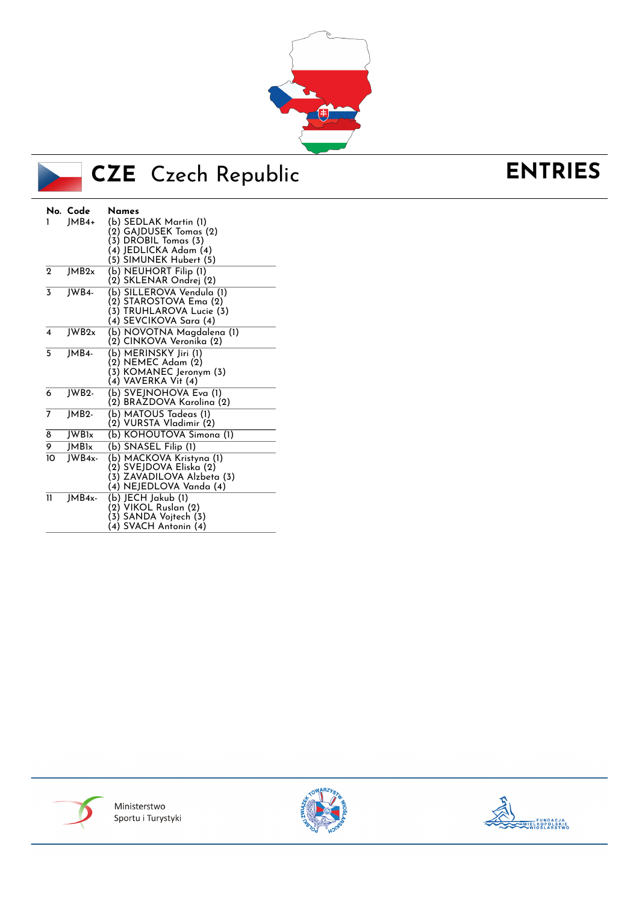

## **ENTRIES**



# **CZE** Czech Republic

| 1                       | No. Code<br>$IMB4+$     | Names<br>(b) SEDLAK Martin (1)<br>(2) GAJDUSEK Tomas (2)<br>$(3)$ DROBIL Tomas $(3)$<br>(4) JEDLICKA Adam (4)<br>(5) SIMUNEK Hubert (5) |
|-------------------------|-------------------------|-----------------------------------------------------------------------------------------------------------------------------------------|
| $\mathbf{Q}$            | IMB2x                   | (b) NEUHORT Filip (1)<br>(2) SKLENAR Ondrej (2)                                                                                         |
| 3                       | IWB4-                   | (b) SILLEROVA Vendula (1)<br>(2) STAROSTOVA Ema (2)<br>(3) TRUHLAROVA Lucie (3)<br>(4) SEVCIKOVA Sara (4)                               |
| $\overline{\mathbf{4}}$ | JWB <sub>2x</sub>       | (b) NOVOTNA Magdalena (1)<br>(2) CINKOVA Veronika (2)                                                                                   |
| 5                       | IMB4-                   | (b) MERINSKY Jiri (1)<br>(2) NEMEC Adam (2)<br>(3) KOMANEC Jeronym (3)<br>(4) VAVERKA Vit (4)                                           |
| 6                       | <b>IWB2-</b>            | (b) SVEJNOHOVA Eva (1)<br>(2) BRAZDOVA Karolina (2)                                                                                     |
| $\overline{7}$          | IMB <sub>2</sub>        | (b) MATOUS Tadeas (1)<br>(2) VURSTA Vladimir (2)                                                                                        |
| 8                       | <b>JWB<sub>lx</sub></b> | (b) KOHOUTOVA Simona (1)                                                                                                                |
| 9                       | <b>JMB<sub>lx</sub></b> | (b) SNASEL Filip (1)                                                                                                                    |
| 10                      | JWB4x-                  | (b) MACKOVA Kristyna (1)<br>(2) SVEJDOVA Eliska (2)<br>(3) ZAVADILOVA Alzbeta (3)<br>(4) NEJEDLOVA Vanda (4)                            |
| $\mathbf{1}$            | $IMB4x-$                | (b) JECH Jakub (1)<br>(2) VIKOL Ruslan (2)<br>(3) SANDA Vojtech (3)<br>(4) SVACH Antonin (4)                                            |





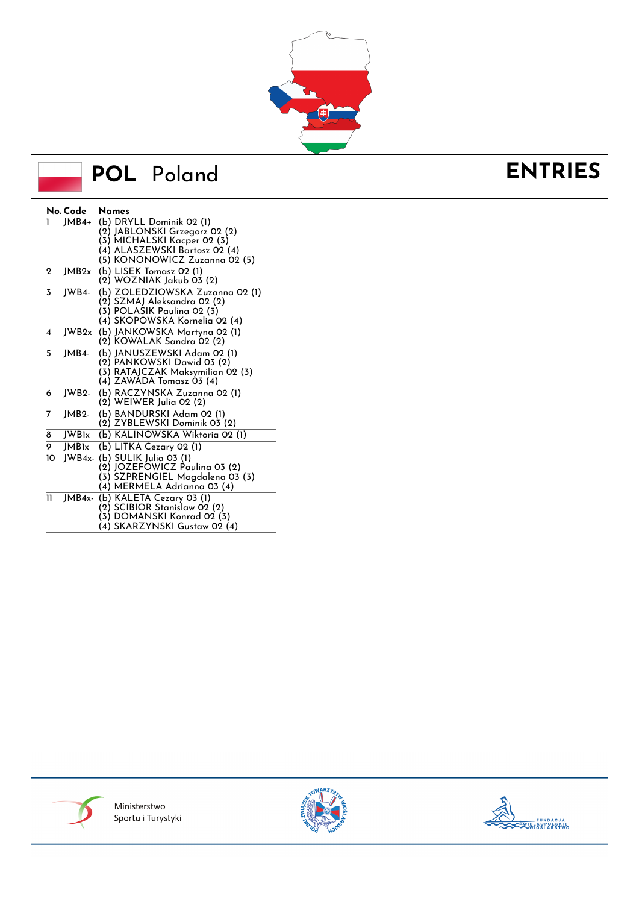

#### **POL** Poland

## **ENTRIES**

|                         | No. Code         | Names                                                                                                                                                      |
|-------------------------|------------------|------------------------------------------------------------------------------------------------------------------------------------------------------------|
| 1                       | JMB4+            | (b) DRYLL Dominik 02 (1)<br>(2) JABLONSKI Grzegorz 02 (2)<br>(3) MICHALSKI Kacper 02 (3)<br>(4) ALASZEWSKI Bartosz 02 (4)<br>(5) KONONOWICZ Zuzanna 02 (5) |
| $\mathbf{2}$            | IMB2x            | (b) LISEK Tomasz 02 (1)<br>(2) WOZNIAK Jakub 03 (2)                                                                                                        |
| $\overline{3}$          | IWB4-            | (b) ZOLEDZIOWSKA Zuzanna 02 (1)<br>(2) SZMAJ Aleksandra 02 (2)<br>(3) POLASIK Paulina 02 (3)<br>(4) SKOPOWSKA Kornelia 02 (4)                              |
| $\overline{\mathbf{4}}$ | IWB2x            | (b) JANKOWSKA Martyna 02 (1)<br>(2) KOWALAK Sandra 02 (2)                                                                                                  |
| 5                       | IMB4-            | (b) JANUSZEWSKI Adam 02 (1)<br>(2) PANKOWSKI Dawid 03 (2)<br>(3) RATAJCZAK Maksymilian 02 (3)<br>(4) ZAWADA Tomasz 03 (4)                                  |
| 6                       | <b>IWB2-</b>     | (b) RACZYNSKA Zuzanna 02 (1)<br>(2) WEIWER Julia 02 (2)                                                                                                    |
| $\overline{7}$          | IMB <sub>2</sub> | (b) BANDURSKI Adam 02 (1)<br>(2) ZYBLEWSKI Dominik 03 (2)                                                                                                  |
| 8                       | <b>JWBIx</b>     | (b) KALINOWSKA Wiktoria 02 (1)                                                                                                                             |
| 9                       | JMB1x            | (b) LITKA Cezary 02 (1)                                                                                                                                    |
| 10                      | $IWB4x-$         | (b) SULIK Julia 03 (1)<br>(2) JOZEFOWICZ Paulina 03 (2)<br>(3) SZPRENGIEL Magdalena 03 (3)<br>(4) MERMELA Adrianna 03 (4)                                  |
| 11                      | $IMB4x-$         | (b) KALETA Cezary 03 (1)<br>(2) SCIBIOR Stanislaw 02 (2)<br>(3) DOMANSKI Konrad 02 (3)<br>(4) SKARZYNSKI Gustaw 02 (4)                                     |





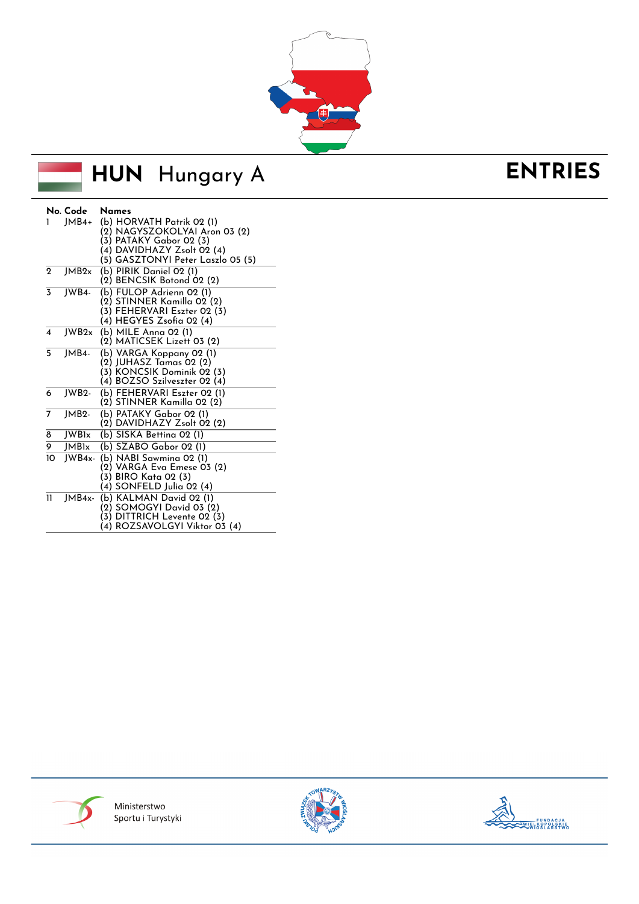

# **HUN** Hungary A

### **ENTRIES**

|                         | No. Code                | <b>Names</b>                      |
|-------------------------|-------------------------|-----------------------------------|
| 1                       | $JMB4+$                 | (b) HORVATH Patrik 02 (1)         |
|                         |                         | (2) NAGYSZOKOLYAI Aron 03 (2)     |
|                         |                         | (3) PATAKY Gabor 02 (3)           |
|                         |                         | (4) DAVIDHAZY Zsolt 02 (4)        |
|                         |                         | (5) GASZTONYI Peter Laszlo 05 (5) |
| $\mathbf{2}$            | IMB2x                   | (b) PIRIK Daniel 02 (1)           |
|                         |                         | (2) BENCSIK Botond 02 (2)         |
| 3                       | IWB4-                   | (b) FULOP Adrienn 02 (1)          |
|                         |                         | (2) STINNER Kamilla 02 (2)        |
|                         |                         | (3) FEHERVARI Eszter 02 (3)       |
|                         |                         | (4) HEGYES Zsofia 02 (4)          |
| $\overline{\mathbf{4}}$ | JWB <sub>2x</sub>       | $\overline{(b)}$ MILE Anna 02 (1) |
|                         |                         | (2) MATICSEK Lizett 03 (2)        |
| 5                       | IMB4-                   | (b) VARGA Koppany 02 (1)          |
|                         |                         | (2) JUHASZ Tamas 02 (2)           |
|                         |                         | (3) KONCSIK Dominik 02 (3)        |
|                         |                         | (4) BOZSO Szilveszter 02 (4)      |
| 6                       | <b>IWB2-</b>            | (b) FEHERVARI Eszter 02 (1)       |
|                         |                         | (2) STINNER Kamilla 02 (2)        |
| $\overline{7}$          | IMB <sub>2</sub>        | (b) PATAKY Gabor 02 (1)           |
|                         |                         | $(2)$ DAVIDHAZY Zsolt 02 $(2)$    |
| 8                       | JWB1x                   | (b) SISKA Bettina 02 (1)          |
| 9                       | <b>IMB<sub>lx</sub></b> | (b) SZABO Gabor 02 (1)            |
| 10                      | $IWB4x-$                | (b) NABI Sawmina 02 (1)           |
|                         |                         | (2) VARGA Eva Emese 03 (2)        |
|                         |                         | (3) BIRO Kata 02 (3)              |
|                         |                         | (4) SONFELD Julia 02 (4)          |
| $\mathbf{1}$            | $IMB4x-$                | (b) KALMAN David 02 (1)           |
|                         |                         | (2) SOMOGYI David 03 (2)          |
|                         |                         | (3) DITTRICH Levente 02 (3)       |
|                         |                         | (4) ROZSAVOLGYI Viktor 03 (4)     |





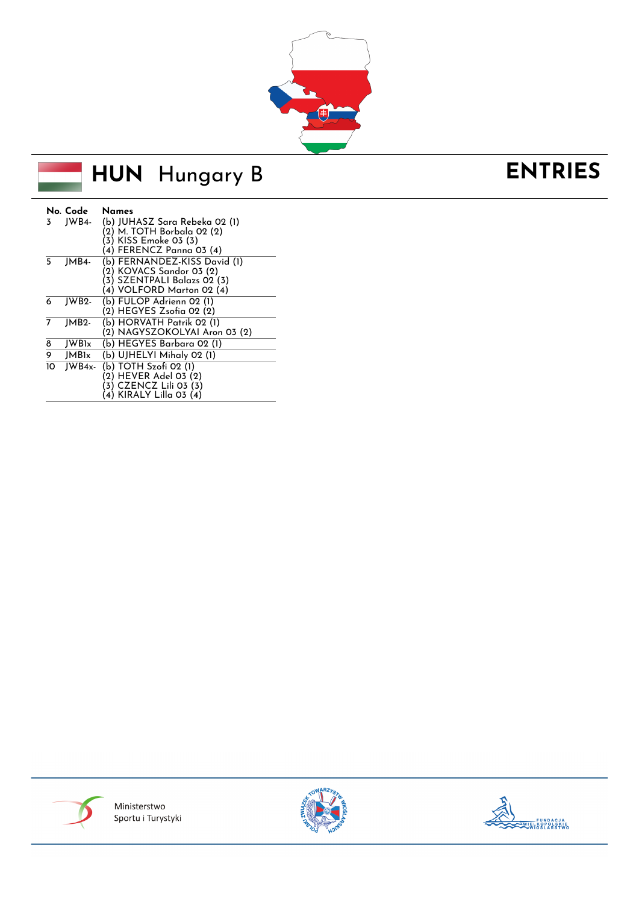

# **HUN** Hungary B

## ENTRIES

| 3   | No. Code Names<br>JWB4- | (b) JUHASZ Sara Rebeka 02 (1)<br>(2) M. TOTH Borbala 02 (2)<br>(3) KISS Emoke 03 (3)<br>(4) FERENCZ Panna 03 (4)     |
|-----|-------------------------|----------------------------------------------------------------------------------------------------------------------|
| 5   | IMB4-                   | (b) FERNANDEZ-KISS David (1)<br>(2) KOVACS Sandor 03 (2)<br>(3) SZENTPALI Balazs 02 (3)<br>(4) VOLFORD Marton 02 (4) |
| 6   | IWB2-                   | (b) FULOP Adrienn 02 (1)<br>(2) HEGYES Zsofia 02 (2)                                                                 |
| 7   | $IMB2-$                 | (b) HORVATH Patrik 02 (1)<br>(2) NAGYSZOKOLYAI Aron 03 (2)                                                           |
| 8   | IWB <sub>lx</sub>       | (b) HEGYES Barbara 02 (1)                                                                                            |
| ब्र | <b>IMBI</b> x           | (b) UJHELYI Mihaly 02 $(1)$                                                                                          |
| 10  | $IWB4x-$                | (b) TOTH Szofi 02 (1)<br>(2) HEVER Adel 03 (2)<br>(3) CZENCZ Lili 03 (3)<br>(4) KIRALY Lilla 03 (4)                  |